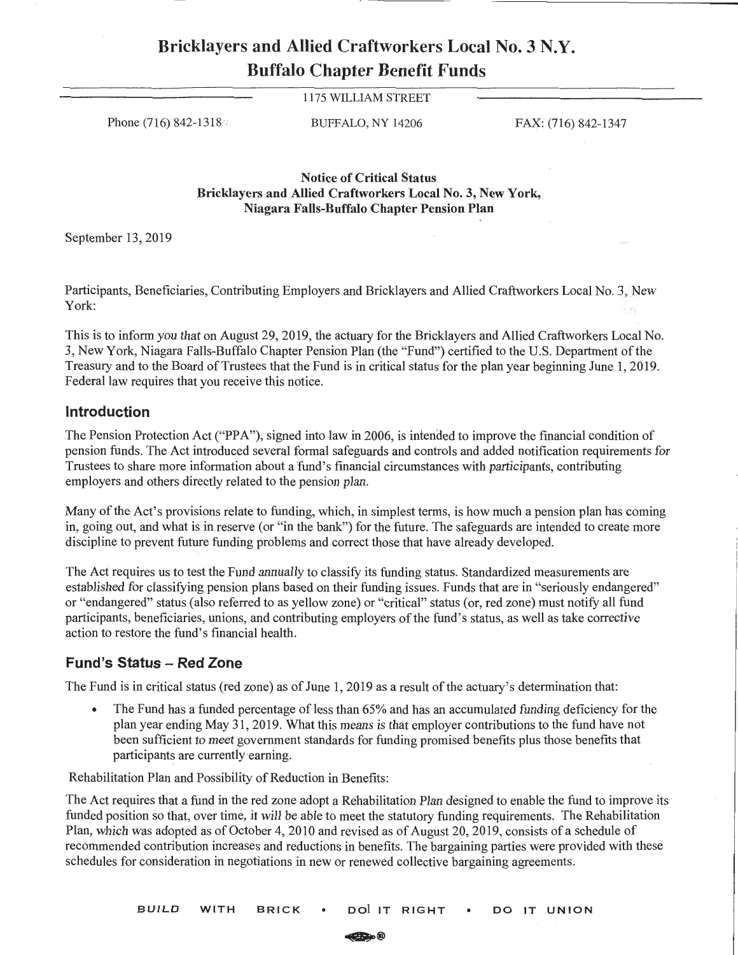## **Bricklayers and Allied Craftworkers Local No. 3 N.Y. Buffalo Chapter Benefit Funds**

1175 WILLIAM STREET

Phone (716) 842-1318<sup>o</sup> BUFFALO, NY 14206 FAX: (716) 842-1347

**Notice of Critical Status Bricklayers and Allied Craftworkers Local No. 3, New York, Niagara Falls-Buffalo Chapter Pension Plan** 

September 13, 2019

Participants, Beneficiaries, Contributing Employers and Bricklayers and Allied Craftworkers Local No. 3, New York:

This is to inform you that on August 29, 2019, the actuary for the Bricklayers and Allied Craftworkers Local No. 3, New York, Niagara Falls-Buffalo Chapter Pension Plan (the "Fund") certified to the U.S. Department of the Treasury and to the Board of Trustees that the Fund is in critical status for the plan year beginning June 1, 2019. Federal law requires that you receive this notice.

## **Introduction**

The Pension Protection Act ("PPA"), signed into law in 2006, is intended to improve the financial condition of pension funds. The Act introduced several formal safeguards and controls and added notification requirements for Trustees to share more information about a fund's financial circumstances with participants, contributing employers and others directly related to the pension plan.

Many of the Act's provisions relate to funding, which, in simplest terms, is how much a pension plan has coming in, going out, and what is in reserve (or "in the bank") for the future. The safeguards are intended to create more discipline to prevent future funding problems and correct those that have already developed.

The Act requires us to test the Fund annually to classify its funding status. Standardized measurements are established for classifying pension plans based on their funding issues. Funds that are in "seriously endangered" or "endangered" status (also referred to as yellow zone) or "critical" status (or, red zone) must notify all fund participants, beneficiaries, unions, and contributing employers of the fund's status, as well as take corrective action to restore the fund's financial health.

## **Fund's Status** - **Red Zone**

The Fund is in critical status (red zone) as of June 1, 2019 as a result of the actuary's determination that:

• The Fund has a funded percentage of less than 65% and has an accumulated funding deficiency for the plan year ending May 31, 2019. What this means is that employer contributions to the fund have not been sufficient to meet government standards for funding promised benefits plus those benefits that participants are currently earning.

Rehabilitation Plan and Possibility of Reduction in Benefits:

The Act requires that a fund in the red zone adopt a Rehabilitation Plan designed to enable the fund to improve its funded position so that, over time, it will be able to meet the statutory funding requirements. The Rehabilitation Plan, which was adopted as of October 4, 2010 and revised as of August 20, 2019, consists of a schedule of recommended contribution increases and reductions in benefits. The bargaining parties were provided with these schedules for consideration in negotiations in new or renewed collective bargaining agreements.

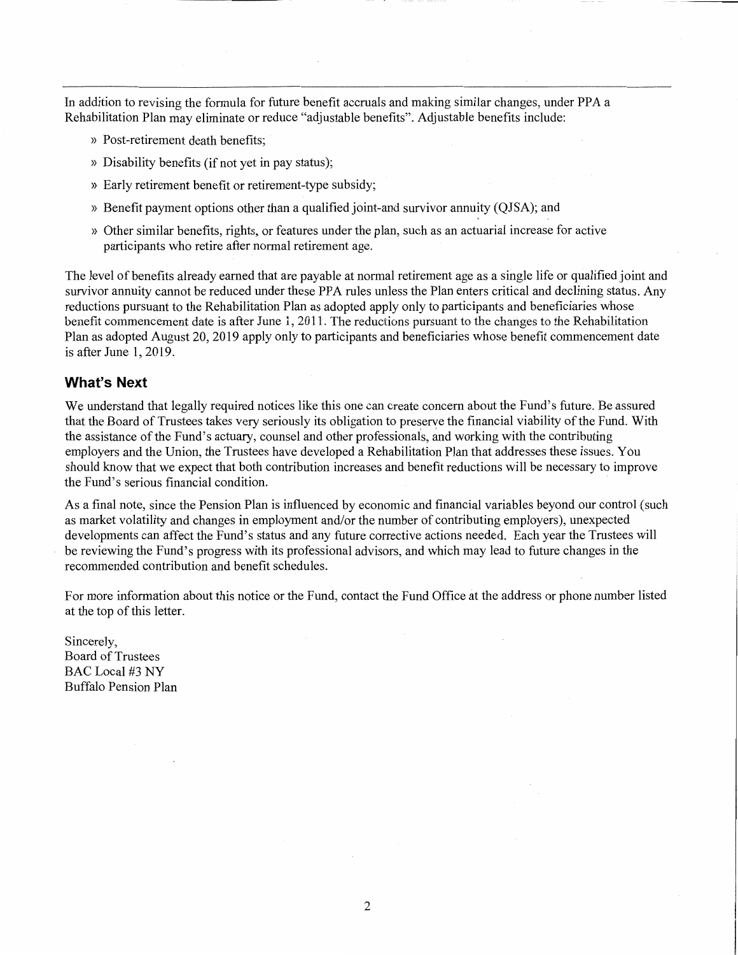In addition to revising the formula for future benefit accruals and making similar changes, under PPA a Rehabilitation Plan may eliminate or reduce "adjustable benefits". Adjustable benefits include:

- » Post-retirement death benefits;
- » Disability benefits (if not yet in pay status);
- » Early retirement benefit or retirement-type subsidy;
- >> Benefit payment options other than a qualified joint-and survivor annuity (QJSA); and
- » Other similar benefits, rights, or features under the plan, such as an actuarial increase for active participants who retire after normal retirement age.

The level of benefits already earned that are payable at normal retirement age as a single life or qualified joint and survivor annuity cannot be reduced under these PPA rules unless the Plan enters critical and declining status. Any reductions pursuant to the Rehabilitation Plan as adopted apply only to participants and beneficiaries whose benefit commencement date is after June 1, 2011. The reductions pursuant to the changes to the Rehabilitation Plan as adopted August 20, 2019 apply only to participants and beneficiaries whose benefit commencement date is after June 1, 2019.

## **What's Next**

We understand that legally required notices like this one can create concern about the Fund's future. Be assured that the Board of Trustees takes very seriously its obligation to preserve the financial viability of the Fund. With the assistance ofthe Fund's actuary, counsel and other professionals, and working with the contributing employers and the Union, the Trustees have developed a Rehabilitation Plan that addresses these issues. You should know that we expect that both contribution increases and benefit reductions will be necessary to improve the Fund's serious financial condition.

As a final note, since the Pension Plan is influenced by economic and financial variables beyond our control {such as market volatility and changes in employment and/or the number of contributing employers), unexpected developments can affect the Fund's status and any future corrective actions needed. Each year the Trustees will be reviewing the Fund's progress with its professional advisors, and which may lead to future changes in the recommended contribution and benefit schedules.

For more information about this notice or the Fund, contact the Fund Office at the address or phone number listed at the top of this letter.

Sincerely, **Board of Trustees** BAC Local #3 NY Buffalo Pension Plan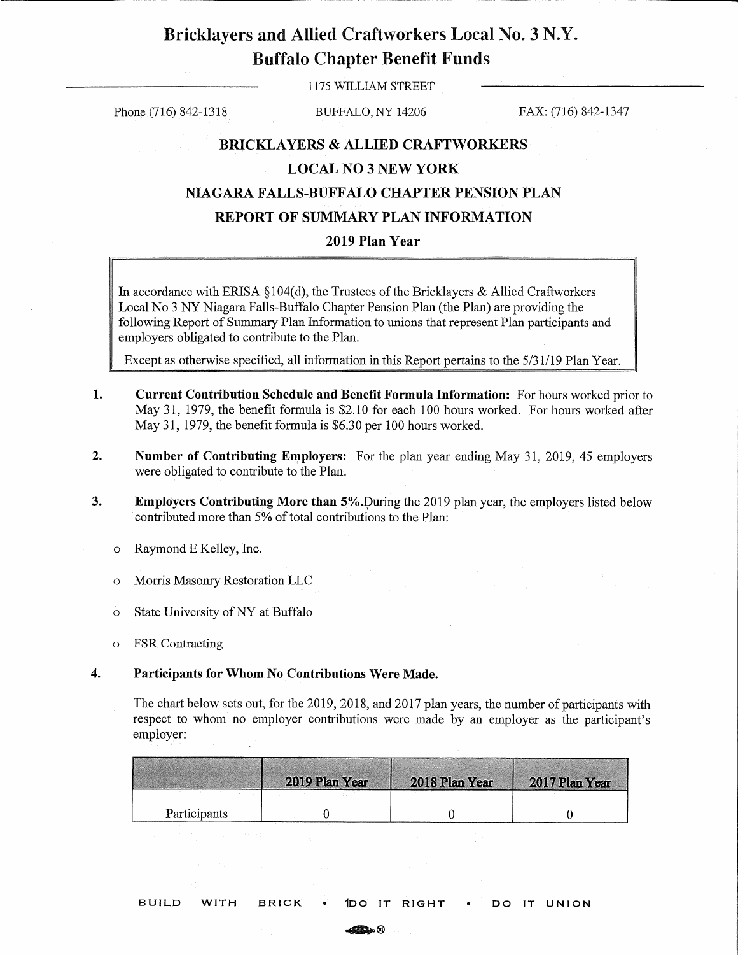# Bricklayers and Allied Craftworkers Local No. 3 N.Y. Buffalo Chapter Benefit Funds

1175 WILLIAM STREET

Phone (716) 842-1318 BUFFALO, NY 14206 FAX: (716) 842-1347

### **BRICKLAYERS** & **ALLIED CRAFTWORKERS**

## **LOCAL NO 3 NEW YORK**

## **NIAGARA FALLS-BUFFALO CHAPTER PENSION PLAN**

## **REPORT OF SUMMARY PLAN INFORMATION**

## **2019 Plan Year**

In accordance with ERISA §104(d), the Trustees of the Bricklayers & Allied Craftworkers Local No 3 NY Niagara Falls-Buffalo Chapter Pension Plan (the Plan) are providing the following Report of Summary Plan Information to unions that represent Plan participants and employers obligated to contribute to the Plan.

Except as otherwise specified, all information in this Report pertains to the 5/31/19 Plan Year.

- **1. Current Contribution Schedule and Benefit Formula Information:** For hours worked prior to May 31, 1979, the benefit formula is \$2.10 for each 100 hours worked. For hours worked after May 31, 1979, the benefit formula is \$6.30 per 100 hours worked.
- **2.** Number of Contributing Employers: For the plan year ending May 31, 2019, 45 employers were obligated to contribute to the Plan.
- **3. Employers Contributing More than 5%.** During the 2019 plan year, the employers listed below contributed more than 5% of total contributions to the Plan:
	- o Raymond E Kelley, Inc.
	- o Morris Masonry Restoration LLC
	- o State University ofNY at Buffalo
	- o FSR Contracting

#### **4. Participants for Whom No Contributions Were Made.**

The chart below sets out, for the 2019, 2018, and 2017 plan years, the number of participants with respect to whom no employer contributions were made by an employer as the participant's employer:

|              | 2019 Plan Year | 2018 Plan Year | 2017 Plan Year |
|--------------|----------------|----------------|----------------|
|              |                |                |                |
| Participants |                |                |                |